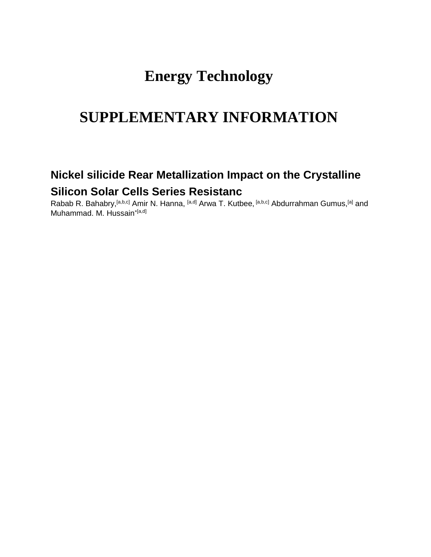## **Energy Technology**

# **SUPPLEMENTARY INFORMATION**

## **Nickel silicide Rear Metallization Impact on the Crystalline Silicon Solar Cells Series Resistanc**

Rabab R. Bahabry, <sup>[a,b,c]</sup> Amir N. Hanna, <sup>[a,d]</sup> Arwa T. Kutbee, <sup>[a,b,c]</sup> Abdurrahman Gumus, <sup>[a]</sup> and Muhammad. M. Hussain\*[a,d]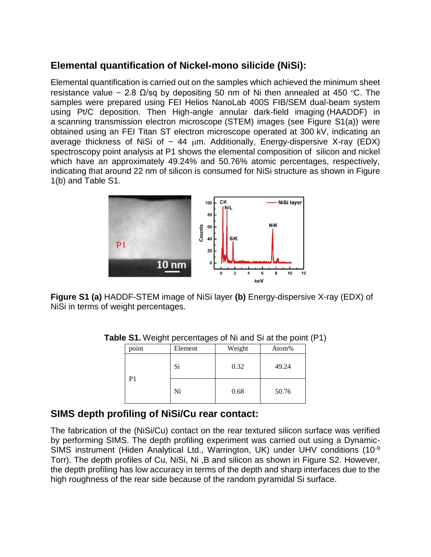## **Elemental quantification of Nickel-mono silicide (NiSi):**

Elemental quantification is carried out on the samples which achieved the minimum sheet resistance value ~ 2.8  $\Omega$ /sq by depositing 50 nm of Ni then annealed at 450 °C. The samples were prepared using FEI Helios NanoLab 400S FIB/SEM dual-beam system using Pt/C deposition. Then High-angle annular dark-field imaging (HAADDF) in a [scanning transmission electron microscope](https://en.wikipedia.org/wiki/Scanning_transmission_electron_microscope) (STEM) images (see Figure S1(a)) were obtained using an FEI Titan ST electron microscope operated at 300 kV, indicating an average thickness of NiSi of  $\sim$  44  $\mu$ m. Additionally, Energy-dispersive X-ray (EDX) spectroscopy point analysis at P1 shows the elemental composition of silicon and nickel which have an approximately 49.24% and 50.76% atomic percentages, respectively, indicating that around 22 nm of silicon is consumed for NiSi structure as shown in Figure 1(b) and Table S1.



**Figure S1 (a)** HADDF-STEM image of NiSi layer **(b)** Energy-dispersive X-ray (EDX) of NiSi in terms of weight percentages.

| point | Element | Weight | Atom% |  |
|-------|---------|--------|-------|--|
|       | Si      | 0.32   | 49.24 |  |
| P1    | Ni      | 0.68   | 50.76 |  |

**Table S1.** Weight percentages of Ni and Si at the point (P1)

### **SIMS depth profiling of NiSi/Cu rear contact:**

The fabrication of the (NiSi/Cu) contact on the rear textured silicon surface was verified by performing SIMS. The depth profiling experiment was carried out using a Dynamic-SIMS instrument (Hiden Analytical Ltd., Warrington, UK) under UHV conditions (10-9 Torr). The depth profiles of Cu, NiSi, Ni ,B and silicon as shown in Figure S2. However, the depth profiling has low accuracy in terms of the depth and sharp interfaces due to the high roughness of the rear side because of the random pyramidal Si surface.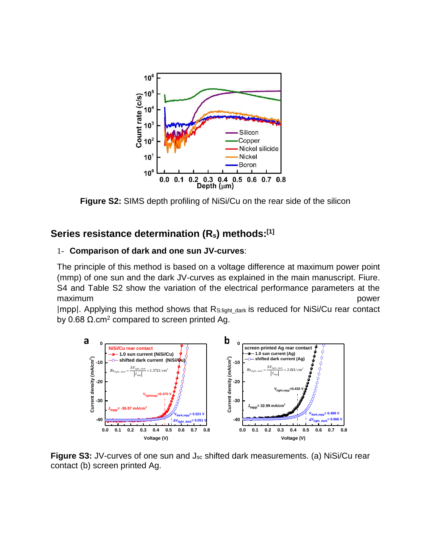

**Figure S2:** SIMS depth profiling of NiSi/Cu on the rear side of the silicon

### **Series resistance determination (Rs) methods: [\[1\]](#page-5-0)**

#### 1- **Comparison of dark and one sun JV-curves**:

The principle of this method is based on a voltage difference at maximum power point (mmp) of one sun and the dark JV-curves as explained in the main manuscript. Fiure. S4 and Table S2 show the variation of the electrical performance parameters at the maximum **power** 

|mpp|. Applying this method shows that RS:light\_dark is reduced for NiSi/Cu rear contact by 0.68  $\Omega$ .cm<sup>2</sup> compared to screen printed Ag.



**Figure S3:** JV-curves of one sun and J<sub>sc</sub> shifted dark measurements. (a) NiSi/Cu rear contact (b) screen printed Ag.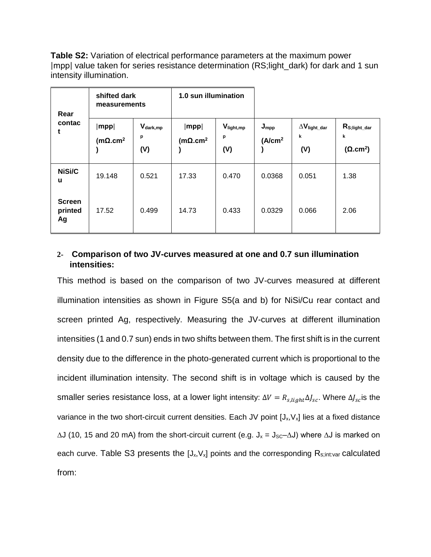**Table S2:** Variation of electrical performance parameters at the maximum power |mpp| value taken for series resistance determination (RS;light\_dark) for dark and 1 sun intensity illumination.

| Rear                           | shifted dark<br>measurements                     |                            | 1.0 sun illumination                 |                                   |                                          |                                     |                                                                 |
|--------------------------------|--------------------------------------------------|----------------------------|--------------------------------------|-----------------------------------|------------------------------------------|-------------------------------------|-----------------------------------------------------------------|
| contac<br>t                    | $ \mathsf{mpp} $<br>(m $\Omega$ .cm <sup>2</sup> | $V_{dark, mp}$<br>p<br>(V) | $ \mathsf{mpp} $<br>( $m\Omega.cm^2$ | $V_{\text{light,mp}}$<br>p<br>(V) | $J_{\text{mpp}}$<br>(A/cm <sup>2</sup> ) | $\Delta V_{light\_dar}$<br>k<br>(V) | $R_{\text{S},\text{light}\_\text{dar}}$<br>k<br>$(\Omega.cm^2)$ |
| NiSi/C<br>u                    | 19.148                                           | 0.521                      | 17.33                                | 0.470                             | 0.0368                                   | 0.051                               | 1.38                                                            |
| <b>Screen</b><br>printed<br>Ag | 17.52                                            | 0.499                      | 14.73                                | 0.433                             | 0.0329                                   | 0.066                               | 2.06                                                            |

#### **2- Comparison of two JV-curves measured at one and 0.7 sun illumination intensities:**

This method is based on the comparison of two JV-curves measured at different illumination intensities as shown in Figure S5(a and b) for NiSi/Cu rear contact and screen printed Ag, respectively. Measuring the JV-curves at different illumination intensities (1 and 0.7 sun) ends in two shifts between them. The first shift is in the current density due to the difference in the photo-generated current which is proportional to the incident illumination intensity. The second shift is in voltage which is caused by the smaller series resistance loss, at a lower light intensity:  $\Delta V = R_{s, light} \Delta J_{sc}$ . Where  $\Delta J_{sc}$  is the variance in the two short-circuit current densities. Each JV point  $[J_x,V_x]$  lies at a fixed distance  $\Delta$ J (10, 15 and 20 mA) from the short-circuit current (e.g. J<sub>x</sub> = J<sub>SC</sub>– $\Delta$ J) where  $\Delta$ J is marked on each curve. Table S3 presents the  $[J_x,V_x]$  points and the corresponding  $R_{s;init:var}$  calculated from: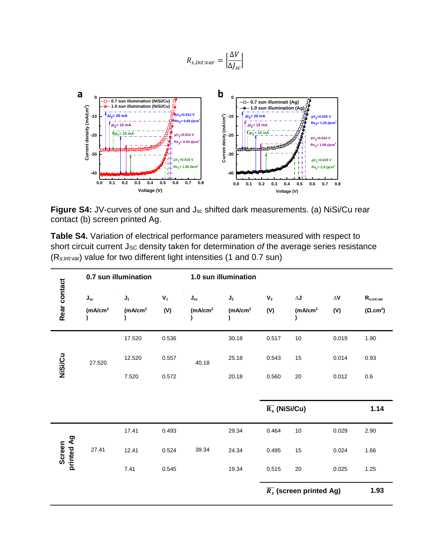$$
R_{s,int:var} = \left| \frac{\Delta V}{\Delta J_{sc}} \right|
$$



Figure S4: JV-curves of one sun and J<sub>sc</sub> shifted dark measurements. (a) NiSi/Cu rear contact (b) screen printed Ag.

**Table S4.** Variation of electrical performance parameters measured with respect to short circuit current Jsc density taken for determination of the average series resistance (Rs;int:var) value for two different light intensities (1 and 0.7 sun)

|                      | 0.7 sun illumination                              |                                |                       | 1.0 sun illumination                              |                                         |                            |                                              |                           |                                                                        |
|----------------------|---------------------------------------------------|--------------------------------|-----------------------|---------------------------------------------------|-----------------------------------------|----------------------------|----------------------------------------------|---------------------------|------------------------------------------------------------------------|
| Rear contact         | $\mathbf{J}_\mathrm{sc}$<br>(mA/cm <sup>2</sup> ) | $J_1$<br>(mA/cm <sup>2</sup> ) | $\mathbf{V}_1$<br>(V) | $\mathsf{J}_\mathsf{sc}$<br>(mA/cm <sup>2</sup> ) | J <sub>2</sub><br>(mA/cm <sup>2</sup> ) | $\mathsf{V}_2$<br>(V)      | $\Delta \mathbf{J}$<br>(mA/cm <sup>2</sup> ) | $\Delta\mathbf{V}$<br>(V) | $\mathsf{R}_{\mathsf{s};\mathsf{int}:\mathsf{var}}$<br>$(\Omega.cm^2)$ |
|                      |                                                   | 17.520                         | 0.536                 |                                                   | 30.18                                   | 0.517                      | 10                                           | 0.019                     | 1.90                                                                   |
| NiSi/Cu              | 27.520                                            | 12.520                         | 0.557                 | 40.18                                             | 25.18                                   | 0.543                      | 15                                           | 0.014                     | 0.93                                                                   |
|                      |                                                   | 7.520                          | 0.572                 |                                                   | 20.18                                   | 0.560                      | 20                                           | 0.012                     | 0.6                                                                    |
|                      |                                                   |                                |                       |                                                   |                                         |                            |                                              |                           |                                                                        |
|                      |                                                   |                                |                       |                                                   |                                         | $\overline{R_s}$ (NiSi/Cu) |                                              |                           | 1.14                                                                   |
|                      |                                                   | 17.41                          | 0.493                 |                                                   | 29.34                                   | 0.464                      | $10\,$                                       | 0.029                     | 2.90                                                                   |
| printed Ag<br>Screen | 27.41                                             | 12.41                          | 0.524                 | 39.34                                             | 24.34                                   | 0.495                      | 15                                           | 0.024                     | 1.66                                                                   |
|                      |                                                   | 7.41                           | 0.545                 |                                                   | 19.34                                   | 0.515                      | 20                                           | 0.025                     | 1.25                                                                   |
|                      |                                                   |                                |                       |                                                   |                                         |                            | $\overline{R_s}$ (screen printed Ag)         |                           | 1.93                                                                   |